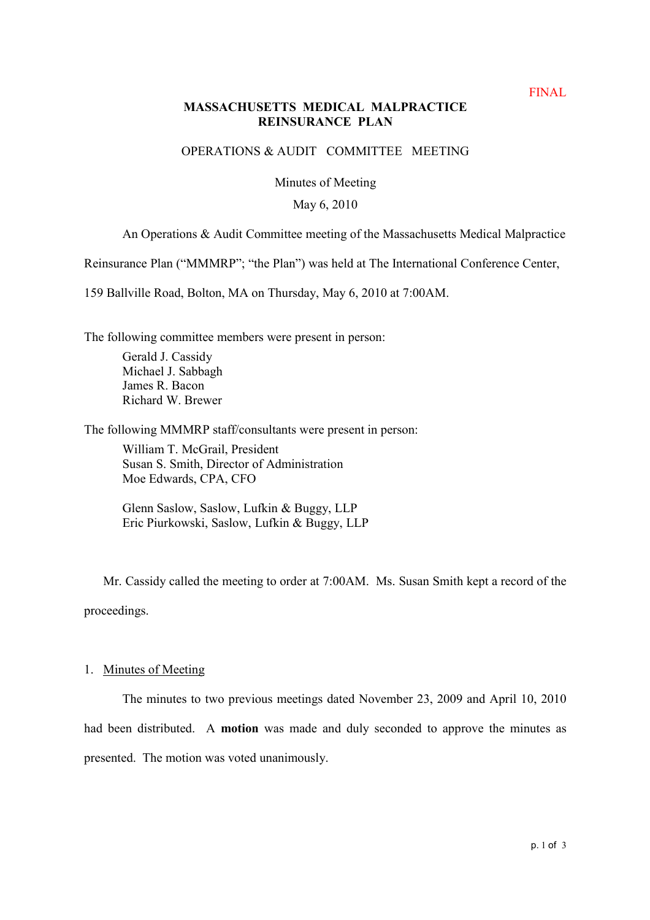# **MASSACHUSETTS MEDICAL MALPRACTICE REINSURANCE PLAN**

# OPERATIONS & AUDIT COMMITTEE MEETING

Minutes of Meeting

### May 6, 2010

# An Operations & Audit Committee meeting of the Massachusetts Medical Malpractice

Reinsurance Plan ("MMMRP"; "the Plan") was held at The International Conference Center,

159 Ballville Road, Bolton, MA on Thursday, May 6, 2010 at 7:00AM.

The following committee members were present in person:

Gerald J. Cassidy Michael J. Sabbagh James R. Bacon Richard W. Brewer

The following MMMRP staff/consultants were present in person:

William T. McGrail, President Susan S. Smith, Director of Administration Moe Edwards, CPA, CFO

Glenn Saslow, Saslow, Lufkin & Buggy, LLP Eric Piurkowski, Saslow, Lufkin & Buggy, LLP

Mr. Cassidy called the meeting to order at 7:00AM. Ms. Susan Smith kept a record of the proceedings.

#### 1. Minutes of Meeting

The minutes to two previous meetings dated November 23, 2009 and April 10, 2010 had been distributed. A **motion** was made and duly seconded to approve the minutes as presented. The motion was voted unanimously.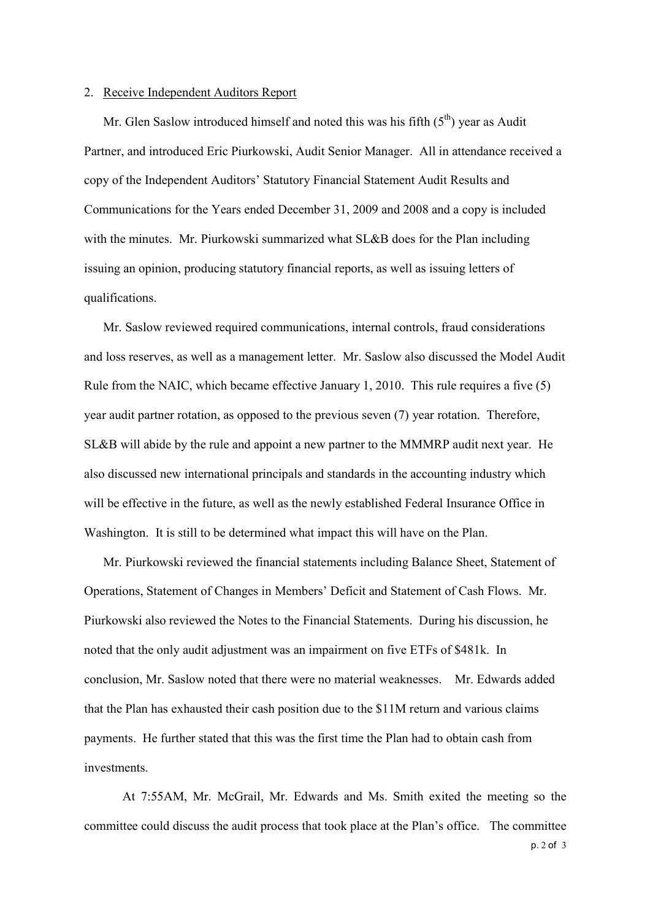#### 2. Receive Independent Auditors Report

Mr. Glen Saslow introduced himself and noted this was his fifth  $(5<sup>th</sup>)$  year as Audit Partner, and introduced Eric Piurkowski, Audit Senior Manager. All in attendance received a copy of the Independent Auditors' Statutory Financial Statement Audit Results and Communications for the Years ended December 31, 2009 and 2008 and a copy is included with the minutes. Mr. Piurkowski summarized what SL&B does for the Plan including issuing an opinion, producing statutory financial reports, as well as issuing letters of qualifications.

Mr. Saslow reviewed required communications, internal controls, fraud considerations and loss reserves, as well as a management letter. Mr. Saslow also discussed the Model Audit Rule from the NAIC, which became effective January 1, 2010. This rule requires a five (5) year audit partner rotation, as opposed to the previous seven (7) year rotation. Therefore, SL&B will abide by the rule and appoint a new partner to the MMMRP audit next year. He also discussed new international principals and standards in the accounting industry which will be effective in the future, as well as the newly established Federal Insurance Office in Washington. It is still to be determined what impact this will have on the Plan.

Mr. Piurkowski reviewed the financial statements including Balance Sheet, Statement of Operations, Statement of Changes in Members' Deficit and Statement of Cash Flows. Mr. Piurkowski also reviewed the Notes to the Financial Statements. During his discussion, he noted that the only audit adjustment was an impairment on five ETFs of \$481k. In conclusion, Mr. Saslow noted that there were no material weaknesses. Mr. Edwards added that the Plan has exhausted their cash position due to the \$11M return and various claims payments. He further stated that this was the first time the Plan had to obtain cash from investments.

At 7:55AM, Mr. McGrail, Mr. Edwards and Ms. Smith exited the meeting so the committee could discuss the audit process that took place at the Plan's office. The committee